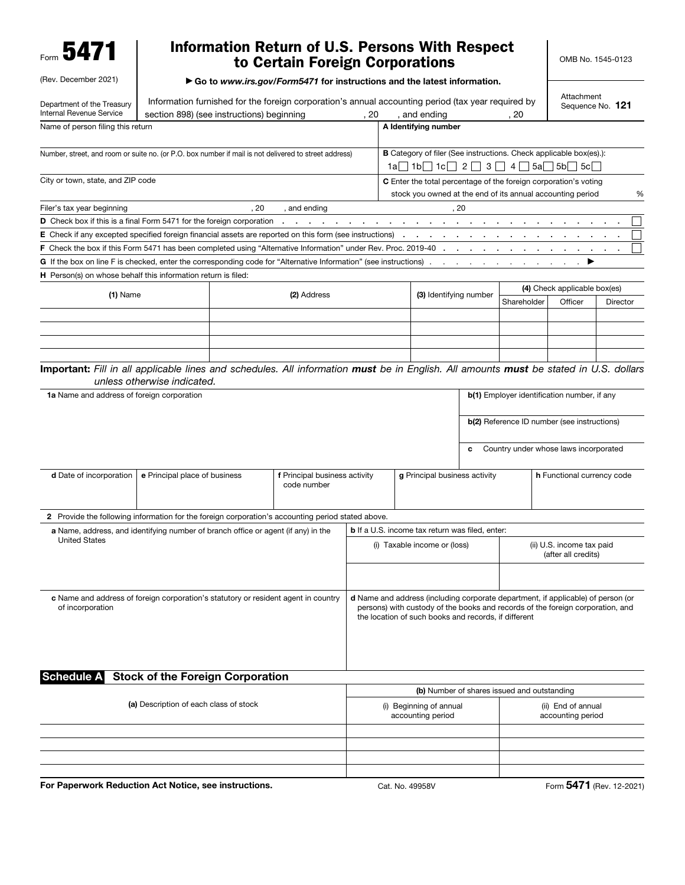Form 5471

(Rev. December 2021)

## Information Return of U.S. Persons With Respect to Certain Foreign Corporations

▶ Go to *www.irs.gov/Form5471* for instructions and the latest information.

Department of the Treasury Internal Revenue Service Information furnished for the foreign corporation's annual accounting period (tax year required by section 898) (see instructions) beginning , 20 , and ending , 20 , 20 Attachment Sequence No. 121 Name of person filing this return Number, street, and room or suite no. (or P.O. box number if mail is not delivered to street address) City or town, state, and ZIP code A Identifying number B Category of filer (See instructions. Check applicable box(es).):  $1a$  1b 1c  $2$   $3$   $13$   $4$   $5a$   $5b$   $5c$ C Enter the total percentage of the foreign corporation's voting stock you owned at the end of its annual accounting period  $\%$ Filer's tax year beginning and the same state of the state of the state of the state of the state of the state of the state of the state of the state of the state of the state of the state of the state of the state of the D Check box if this is a final Form 5471 for the foreign corporation . . . . . . . . . . . . . . . . . . . . . . . . . . **E** Check if any excepted specified foreign financial assets are reported on this form (see instructions) . F Check the box if this Form 5471 has been completed using "Alternative Information" under Rev. Proc. 2019-40 G If the box on line F is checked, enter the corresponding code for "Alternative Information" (see instructions) H Person(s) on whose behalf this information return is filed: (1) Name (2) Address (2) Address (3) Identifying number (4) Check applicable box(es) Shareholder Officer Director Changes (b) Refugees Shareholder Shareholder Officer Director Important: *Fill in all applicable lines and schedules. All information must be in English. All amounts must be stated in U.S. dollars unless otherwise indicated.* 1a Name and address of foreign corporation b(1) Employer identification number, if any b(2) Reference ID number (see instructions) c Country under whose laws incorporated **d** Date of incorporation  $\mathbf{e}$  Principal place of business **f** Principal business activity code number g Principal business activity h Functional currency code 2 Provide the following information for the foreign corporation's accounting period stated above. a Name, address, and identifying number of branch office or agent (if any) in the United States **b** If a U.S. income tax return was filed, enter: (i) Taxable income or (loss) | (ii) U.S. income tax paid (after all credits) c Name and address of foreign corporation's statutory or resident agent in country of incorporation d Name and address (including corporate department, if applicable) of person (or persons) with custody of the books and records of the foreign corporation, and the location of such books and records, if different Schedule A Stock of the Foreign Corporation (a) Description of each class of stock (b) Number of shares issued and outstanding (i) Beginning of annual accounting period (ii) End of annual accounting period For Paperwork Reduction Act Notice, see instructions. Cat. No. 49958V Form 5471 (Rev. 12-2021)

OMB No. 1545-0123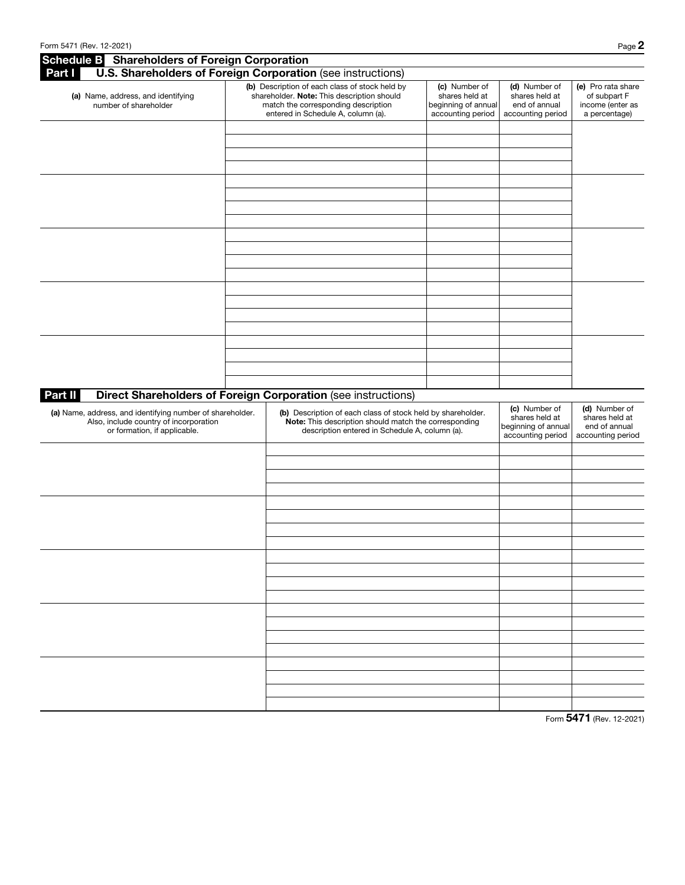| <b>Schedule B</b> Shareholders of Foreign Corporation                                                                               |                                                                                                                                                                           |                                                                                                                                                                        |                                                                             |                                                                             |                                                                         |
|-------------------------------------------------------------------------------------------------------------------------------------|---------------------------------------------------------------------------------------------------------------------------------------------------------------------------|------------------------------------------------------------------------------------------------------------------------------------------------------------------------|-----------------------------------------------------------------------------|-----------------------------------------------------------------------------|-------------------------------------------------------------------------|
| Part I                                                                                                                              |                                                                                                                                                                           | U.S. Shareholders of Foreign Corporation (see instructions)                                                                                                            |                                                                             |                                                                             |                                                                         |
| (a) Name, address, and identifying<br>number of shareholder                                                                         | (b) Description of each class of stock held by<br>shareholder. Note: This description should<br>match the corresponding description<br>entered in Schedule A, column (a). |                                                                                                                                                                        | (c) Number of<br>shares held at<br>beginning of annual<br>accounting period | (d) Number of<br>shares held at<br>end of annual<br>accounting period       | (e) Pro rata share<br>of subpart F<br>income (enter as<br>a percentage) |
|                                                                                                                                     |                                                                                                                                                                           |                                                                                                                                                                        |                                                                             |                                                                             |                                                                         |
|                                                                                                                                     |                                                                                                                                                                           |                                                                                                                                                                        |                                                                             |                                                                             |                                                                         |
|                                                                                                                                     |                                                                                                                                                                           |                                                                                                                                                                        |                                                                             |                                                                             |                                                                         |
|                                                                                                                                     |                                                                                                                                                                           |                                                                                                                                                                        |                                                                             |                                                                             |                                                                         |
|                                                                                                                                     |                                                                                                                                                                           |                                                                                                                                                                        |                                                                             |                                                                             |                                                                         |
|                                                                                                                                     |                                                                                                                                                                           |                                                                                                                                                                        |                                                                             |                                                                             |                                                                         |
|                                                                                                                                     |                                                                                                                                                                           |                                                                                                                                                                        |                                                                             |                                                                             |                                                                         |
|                                                                                                                                     |                                                                                                                                                                           |                                                                                                                                                                        |                                                                             |                                                                             |                                                                         |
|                                                                                                                                     |                                                                                                                                                                           |                                                                                                                                                                        |                                                                             |                                                                             |                                                                         |
|                                                                                                                                     |                                                                                                                                                                           |                                                                                                                                                                        |                                                                             |                                                                             |                                                                         |
|                                                                                                                                     |                                                                                                                                                                           |                                                                                                                                                                        |                                                                             |                                                                             |                                                                         |
| <b>Part II</b>                                                                                                                      |                                                                                                                                                                           | Direct Shareholders of Foreign Corporation (see instructions)                                                                                                          |                                                                             |                                                                             |                                                                         |
| (a) Name, address, and identifying number of shareholder.<br>Also, include country of incorporation<br>or formation, if applicable. |                                                                                                                                                                           | (b) Description of each class of stock held by shareholder.<br>Note: This description should match the corresponding<br>description entered in Schedule A, column (a). |                                                                             | (c) Number of<br>shares held at<br>beginning of annual<br>accounting period | (d) Number of<br>shares held at<br>end of annual<br>accounting period   |
|                                                                                                                                     |                                                                                                                                                                           |                                                                                                                                                                        |                                                                             |                                                                             |                                                                         |
|                                                                                                                                     |                                                                                                                                                                           |                                                                                                                                                                        |                                                                             |                                                                             |                                                                         |
|                                                                                                                                     |                                                                                                                                                                           |                                                                                                                                                                        |                                                                             |                                                                             |                                                                         |
|                                                                                                                                     |                                                                                                                                                                           |                                                                                                                                                                        |                                                                             |                                                                             |                                                                         |
|                                                                                                                                     |                                                                                                                                                                           |                                                                                                                                                                        |                                                                             |                                                                             |                                                                         |
|                                                                                                                                     |                                                                                                                                                                           |                                                                                                                                                                        |                                                                             |                                                                             |                                                                         |
|                                                                                                                                     |                                                                                                                                                                           |                                                                                                                                                                        |                                                                             |                                                                             |                                                                         |
|                                                                                                                                     |                                                                                                                                                                           |                                                                                                                                                                        |                                                                             |                                                                             |                                                                         |
|                                                                                                                                     |                                                                                                                                                                           |                                                                                                                                                                        |                                                                             |                                                                             |                                                                         |
|                                                                                                                                     |                                                                                                                                                                           |                                                                                                                                                                        |                                                                             |                                                                             |                                                                         |
|                                                                                                                                     |                                                                                                                                                                           |                                                                                                                                                                        |                                                                             |                                                                             |                                                                         |
|                                                                                                                                     |                                                                                                                                                                           |                                                                                                                                                                        |                                                                             |                                                                             |                                                                         |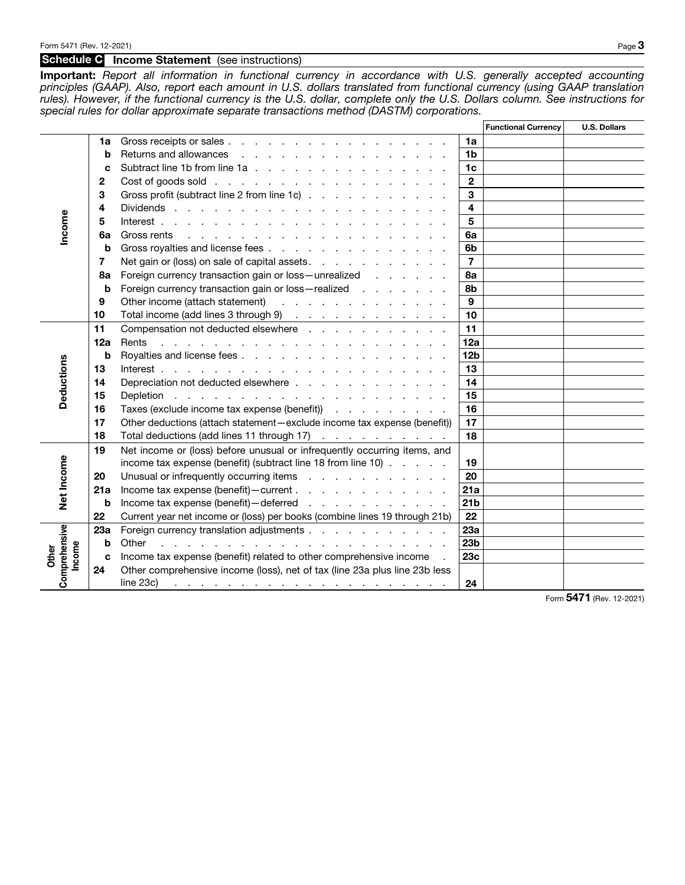## Schedule C Income Statement (see instructions)

Important: *Report all information in functional currency in accordance with U.S. generally accepted accounting principles (GAAP). Also, report each amount in U.S. dollars translated from functional currency (using GAAP translation rules). However, if the functional currency is the U.S. dollar, complete only the U.S. Dollars column. See instructions for special rules for dollar approximate separate transactions method (DASTM) corporations.*

|                      |             |                                                                                                                                |                         | <b>Functional Currency</b> | <b>U.S. Dollars</b> |
|----------------------|-------------|--------------------------------------------------------------------------------------------------------------------------------|-------------------------|----------------------------|---------------------|
|                      | 1a          | Gross receipts or sales                                                                                                        | 1a                      |                            |                     |
| Income               | b           | Returns and allowances                                                                                                         | 1 <sub>b</sub>          |                            |                     |
|                      | C           | Subtract line 1b from line 1a                                                                                                  | 1 <sub>c</sub>          |                            |                     |
|                      | 2           |                                                                                                                                | $\mathbf{2}$            |                            |                     |
|                      | 3           | Gross profit (subtract line 2 from line 1c)                                                                                    | 3                       |                            |                     |
|                      | 4           | Dividends                                                                                                                      | $\overline{\mathbf{4}}$ |                            |                     |
|                      | 5           |                                                                                                                                | 5                       |                            |                     |
|                      | 6а          | Gross rents<br>the contract of the contract of the contract of the contract of the contract of the contract of the contract of | 6a                      |                            |                     |
|                      | b           | Gross royalties and license fees                                                                                               | 6b                      |                            |                     |
|                      | 7           | Net gain or (loss) on sale of capital assets.                                                                                  | $\overline{7}$          |                            |                     |
|                      | 8а          | Foreign currency transaction gain or loss - unrealized                                                                         | 8a                      |                            |                     |
|                      | b           | Foreign currency transaction gain or loss - realized                                                                           | 8b                      |                            |                     |
|                      | 9           | Other income (attach statement)                                                                                                | 9                       |                            |                     |
|                      | 10          | Total income (add lines 3 through 9)                                                                                           | 10                      |                            |                     |
|                      | 11          | Compensation not deducted elsewhere                                                                                            | 11                      |                            |                     |
|                      | 12a         | Rents<br>the contract of the contract of the contract of the contract of the contract of                                       | 12a                     |                            |                     |
|                      | b           | Royalties and license fees                                                                                                     | 12 <sub>b</sub>         |                            |                     |
|                      | 13          |                                                                                                                                | 13                      |                            |                     |
|                      | 14          | Depreciation not deducted elsewhere                                                                                            | 14                      |                            |                     |
| Deductions           | 15          |                                                                                                                                | 15                      |                            |                     |
|                      | 16          | Taxes (exclude income tax expense (benefit)                                                                                    | 16                      |                            |                     |
|                      | 17          | Other deductions (attach statement-exclude income tax expense (benefit))                                                       | 17                      |                            |                     |
|                      | 18          | Total deductions (add lines 11 through 17)                                                                                     | 18                      |                            |                     |
|                      | 19          | Net income or (loss) before unusual or infrequently occurring items, and                                                       |                         |                            |                     |
| Net Income           |             | income tax expense (benefit) (subtract line 18 from line 10)                                                                   | 19                      |                            |                     |
|                      | 20          | Unusual or infrequently occurring items                                                                                        | 20                      |                            |                     |
|                      | 21a         | Income tax expense (benefit) - current                                                                                         | 21a                     |                            |                     |
|                      | b           | Income tax expense (benefit) - deferred                                                                                        | 21 <sub>b</sub>         |                            |                     |
|                      | 22          | Current year net income or (loss) per books (combine lines 19 through 21b)                                                     | 22                      |                            |                     |
|                      | 23a         | Foreign currency translation adjustments                                                                                       | 23a                     |                            |                     |
|                      | $\mathbf b$ | Other<br>de la casa de la casa de la casa de la casa de la casa de la                                                          | 23 <sub>b</sub>         |                            |                     |
| come<br><b>Other</b> | C           | Income tax expense (benefit) related to other comprehensive income                                                             | 23c                     |                            |                     |
| Comprehensive        | 24          | Other comprehensive income (loss), net of tax (line 23a plus line 23b less<br>line 23c)                                        |                         |                            |                     |
|                      |             | and a complete substitute of the complete substitute of the complete substitute of the complete substitute of                  | 24                      |                            |                     |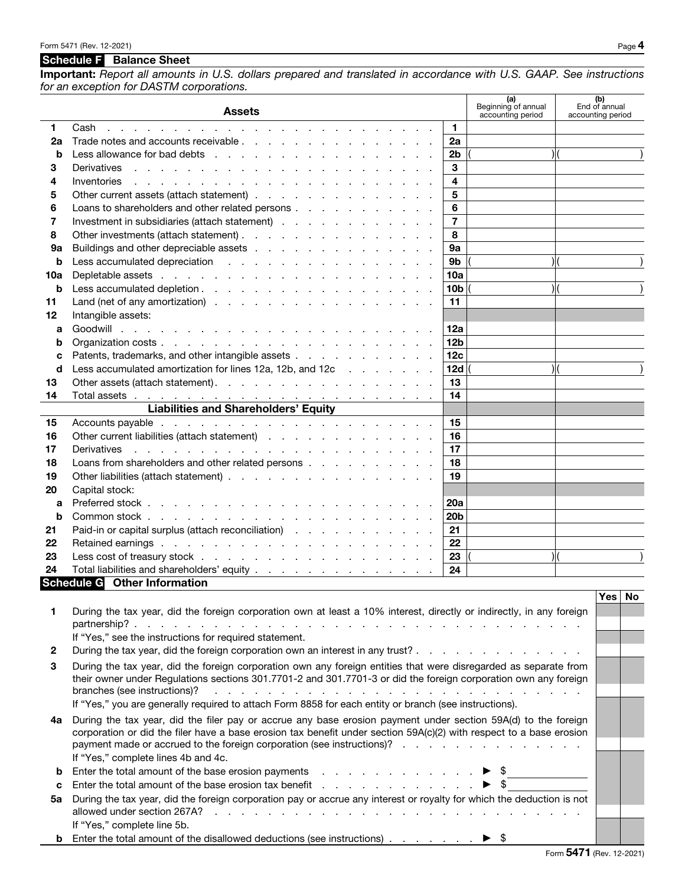## Schedule F Balance Sheet

If "Yes," complete line 5b.

Important: *Report all amounts in U.S. dollars prepared and translated in accordance with U.S. GAAP. See instructions for an exception for DASTM corporations.*

|              | <b>Assets</b>                                                                                                                                                                                                                                                 | (a)<br>Beginning of annual<br>accounting period |     | (b)<br>End of annual<br>accounting period |           |
|--------------|---------------------------------------------------------------------------------------------------------------------------------------------------------------------------------------------------------------------------------------------------------------|-------------------------------------------------|-----|-------------------------------------------|-----------|
| 1            | $\blacktriangleleft$<br>Cash<br>the contract of the contract of the contract of the contract of the contract of the contract of the contract of                                                                                                               |                                                 |     |                                           |           |
| 2a           | 2a                                                                                                                                                                                                                                                            |                                                 |     |                                           |           |
| b            | 2 <sub>b</sub>                                                                                                                                                                                                                                                |                                                 |     |                                           |           |
| 3            | 3<br>Derivatives<br>in the second contract of the second contract of the second contract of the second contract of the second contract of the second contract of the second contract of the second contract of the second contract of the second c            |                                                 |     |                                           |           |
| 4            | 4<br>Inventories<br>and a series of the contract of the contract of the contract of the contract of the contract of the contract of                                                                                                                           |                                                 |     |                                           |           |
| 5            | 5<br>Other current assets (attach statement)                                                                                                                                                                                                                  |                                                 |     |                                           |           |
| 6            | 6<br>Loans to shareholders and other related persons                                                                                                                                                                                                          |                                                 |     |                                           |           |
| 7            | $\overline{7}$<br>Investment in subsidiaries (attach statement)                                                                                                                                                                                               |                                                 |     |                                           |           |
| 8            | 8                                                                                                                                                                                                                                                             |                                                 |     |                                           |           |
| 9а           | Buildings and other depreciable assets<br>9а                                                                                                                                                                                                                  |                                                 |     |                                           |           |
| b            | 9 <sub>b</sub>                                                                                                                                                                                                                                                |                                                 | ) ( |                                           |           |
| 10a          | 10a                                                                                                                                                                                                                                                           |                                                 |     |                                           |           |
| b            | 10 <sub>b</sub>                                                                                                                                                                                                                                               |                                                 |     |                                           |           |
| 11           | 11                                                                                                                                                                                                                                                            |                                                 |     |                                           |           |
| 12           | Intangible assets:                                                                                                                                                                                                                                            |                                                 |     |                                           |           |
| a            | 12a                                                                                                                                                                                                                                                           |                                                 |     |                                           |           |
| b            | 12 <sub>b</sub>                                                                                                                                                                                                                                               |                                                 |     |                                           |           |
| C            | Patents, trademarks, and other intangible assets<br>12c                                                                                                                                                                                                       |                                                 |     |                                           |           |
| d            | Less accumulated amortization for lines 12a, 12b, and 12c<br>12d                                                                                                                                                                                              |                                                 |     |                                           |           |
| 13           | 13                                                                                                                                                                                                                                                            |                                                 |     |                                           |           |
| 14           | 14                                                                                                                                                                                                                                                            |                                                 |     |                                           |           |
|              | Liabilities and Shareholders' Equity<br><u>Liabilities</u> and Shareholders' Equity                                                                                                                                                                           |                                                 |     |                                           |           |
| 15           | 15                                                                                                                                                                                                                                                            |                                                 |     |                                           |           |
| 16           | Other current liabilities (attach statement)<br>16                                                                                                                                                                                                            |                                                 |     |                                           |           |
| 17           | the contract of the contract of the contract of the contract of the contract of<br>17<br>Derivatives                                                                                                                                                          |                                                 |     |                                           |           |
| 18           | Loans from shareholders and other related persons<br>18                                                                                                                                                                                                       |                                                 |     |                                           |           |
| 19           | 19                                                                                                                                                                                                                                                            |                                                 |     |                                           |           |
| 20           | Capital stock:                                                                                                                                                                                                                                                |                                                 |     |                                           |           |
| a            | 20a                                                                                                                                                                                                                                                           |                                                 |     |                                           |           |
| b            | 20 <sub>b</sub>                                                                                                                                                                                                                                               |                                                 |     |                                           |           |
| 21           | Paid-in or capital surplus (attach reconciliation)<br>21                                                                                                                                                                                                      |                                                 |     |                                           |           |
| 22           | 22                                                                                                                                                                                                                                                            |                                                 |     |                                           |           |
| 23           | 23                                                                                                                                                                                                                                                            |                                                 |     |                                           |           |
| 24           | Total liabilities and shareholders' equity <u>.</u><br>24                                                                                                                                                                                                     |                                                 |     |                                           |           |
|              | Schedule G Other Information                                                                                                                                                                                                                                  |                                                 |     | Yes                                       | <b>No</b> |
|              |                                                                                                                                                                                                                                                               |                                                 |     |                                           |           |
| 1            | During the tax year, did the foreign corporation own at least a 10% interest, directly or indirectly, in any foreign                                                                                                                                          |                                                 |     |                                           |           |
|              | If "Yes," see the instructions for required statement.                                                                                                                                                                                                        |                                                 |     |                                           |           |
| $\mathbf{2}$ | During the tax year, did the foreign corporation own an interest in any trust?                                                                                                                                                                                |                                                 |     |                                           |           |
|              |                                                                                                                                                                                                                                                               |                                                 |     |                                           |           |
| 3            | During the tax year, did the foreign corporation own any foreign entities that were disregarded as separate from<br>their owner under Regulations sections 301.7701-2 and 301.7701-3 or did the foreign corporation own any foreign                           |                                                 |     |                                           |           |
|              | branches (see instructions)?<br>a constitution of the constitution of the constitution of the constitution of the constitution of the constitution of the constitution of the constitution of the constitution of the constitution of the constitution of the |                                                 |     |                                           |           |
|              | If "Yes," you are generally required to attach Form 8858 for each entity or branch (see instructions).                                                                                                                                                        |                                                 |     |                                           |           |
|              | During the tax year, did the filer pay or accrue any base erosion payment under section 59A(d) to the foreign                                                                                                                                                 |                                                 |     |                                           |           |
| 4a           | corporation or did the filer have a base erosion tax benefit under section 59A(c)(2) with respect to a base erosion                                                                                                                                           |                                                 |     |                                           |           |
|              | payment made or accrued to the foreign corporation (see instructions)?                                                                                                                                                                                        |                                                 |     |                                           |           |
|              | If "Yes," complete lines 4b and 4c.                                                                                                                                                                                                                           |                                                 |     |                                           |           |
| b            | Enter the total amount of the base erosion payments $\blacksquare$                                                                                                                                                                                            |                                                 |     |                                           |           |
| c            |                                                                                                                                                                                                                                                               |                                                 |     |                                           |           |
| 5a           | During the tax year, did the foreign corporation pay or accrue any interest or royalty for which the deduction is not                                                                                                                                         |                                                 |     |                                           |           |
|              |                                                                                                                                                                                                                                                               |                                                 |     |                                           |           |

**b** Enter the total amount of the disallowed deductions (see instructions) . . . . . . .  $\blacktriangleright$  \$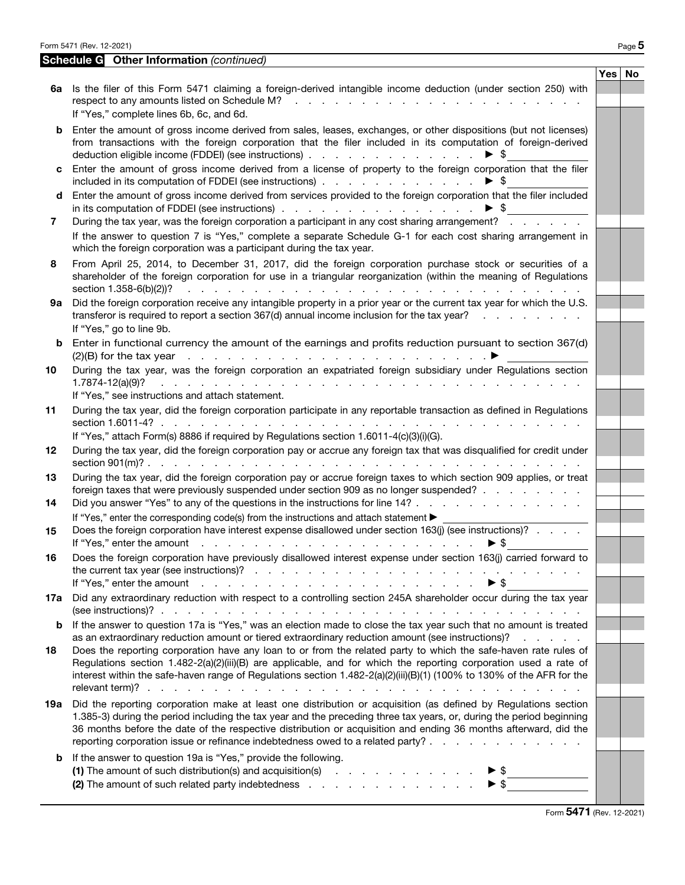Form 5471 (Rev. 12-2021) Page  $5$ 

Schedule G Other Information *(continued)*

|     | 6a Is the filer of this Form 5471 claiming a foreign-derived intangible income deduction (under section 250) with<br>respect to any amounts listed on Schedule M?<br>the second contract of the second contract of the second                                                                                                                                                                                                               | Yes <sub>1</sub> | No |
|-----|---------------------------------------------------------------------------------------------------------------------------------------------------------------------------------------------------------------------------------------------------------------------------------------------------------------------------------------------------------------------------------------------------------------------------------------------|------------------|----|
| b   | If "Yes," complete lines 6b, 6c, and 6d.<br>Enter the amount of gross income derived from sales, leases, exchanges, or other dispositions (but not licenses)<br>from transactions with the foreign corporation that the filer included in its computation of foreign-derived<br>deduction eligible income (FDDEI) (see instructions)<br>$\blacktriangleright$ \$                                                                            |                  |    |
| c   | Enter the amount of gross income derived from a license of property to the foreign corporation that the filer<br>included in its computation of FDDEI (see instructions)<br>$\blacktriangleright$ \$                                                                                                                                                                                                                                        |                  |    |
| d   | Enter the amount of gross income derived from services provided to the foreign corporation that the filer included<br>in its computation of FDDEI (see instructions)<br>$\blacktriangleright$ \$                                                                                                                                                                                                                                            |                  |    |
| 7   | During the tax year, was the foreign corporation a participant in any cost sharing arrangement?                                                                                                                                                                                                                                                                                                                                             |                  |    |
|     | If the answer to question 7 is "Yes," complete a separate Schedule G-1 for each cost sharing arrangement in<br>which the foreign corporation was a participant during the tax year.                                                                                                                                                                                                                                                         |                  |    |
| 8   | From April 25, 2014, to December 31, 2017, did the foreign corporation purchase stock or securities of a<br>shareholder of the foreign corporation for use in a triangular reorganization (within the meaning of Regulations<br>section 1.358-6(b)(2))?                                                                                                                                                                                     |                  |    |
| 9а  | Did the foreign corporation receive any intangible property in a prior year or the current tax year for which the U.S.<br>transferor is required to report a section 367(d) annual income inclusion for the tax year?<br>If "Yes," go to line 9b.                                                                                                                                                                                           |                  |    |
| b   | Enter in functional currency the amount of the earnings and profits reduction pursuant to section 367(d)<br>$(2)(B)$ for the tax year<br>المناور والمناور والمناور والمناور والمناور والمناور والمناور والمناور والمناور                                                                                                                                                                                                                    |                  |    |
| 10  | During the tax year, was the foreign corporation an expatriated foreign subsidiary under Regulations section<br>$1.7874 - 12(a)(9)?$<br>restaurant de la component de la component de la component de la component de la component de la component de                                                                                                                                                                                       |                  |    |
|     | If "Yes," see instructions and attach statement.                                                                                                                                                                                                                                                                                                                                                                                            |                  |    |
| 11  | During the tax year, did the foreign corporation participate in any reportable transaction as defined in Regulations<br>section 1.6011-4? $\ldots$ $\ldots$ $\ldots$ $\ldots$ $\ldots$ $\ldots$ $\ldots$ $\ldots$ $\ldots$                                                                                                                                                                                                                  |                  |    |
| 12  | If "Yes," attach Form(s) 8886 if required by Regulations section 1.6011-4(c)(3)(i)(G).<br>During the tax year, did the foreign corporation pay or accrue any foreign tax that was disqualified for credit under                                                                                                                                                                                                                             |                  |    |
| 13  | During the tax year, did the foreign corporation pay or accrue foreign taxes to which section 909 applies, or treat<br>foreign taxes that were previously suspended under section 909 as no longer suspended?                                                                                                                                                                                                                               |                  |    |
| 14  | Did you answer "Yes" to any of the questions in the instructions for line 14?                                                                                                                                                                                                                                                                                                                                                               |                  |    |
| 15  | If "Yes," enter the corresponding code(s) from the instructions and attach statement ><br>Does the foreign corporation have interest expense disallowed under section 163(j) (see instructions)?<br>If "Yes," enter the amount<br>de la caractería de la caractería de la caractería de la<br>► \$                                                                                                                                          |                  |    |
| 16  | Does the foreign corporation have previously disallowed interest expense under section 163(j) carried forward to<br>If "Yes," enter the amount we want and we want to contact the amount we want to contact the contact of the contact of the contact of the contact of the contact of the contact of the contact of the contact of the contact of<br>$\blacktriangleright$ \$                                                              |                  |    |
| 17a | Did any extraordinary reduction with respect to a controlling section 245A shareholder occur during the tax year                                                                                                                                                                                                                                                                                                                            |                  |    |
| b   | If the answer to question 17a is "Yes," was an election made to close the tax year such that no amount is treated<br>as an extraordinary reduction amount or tiered extraordinary reduction amount (see instructions)?<br>and the company of the company                                                                                                                                                                                    |                  |    |
| 18  | Does the reporting corporation have any loan to or from the related party to which the safe-haven rate rules of<br>Regulations section 1.482-2(a)(2)(iii)(B) are applicable, and for which the reporting corporation used a rate of<br>interest within the safe-haven range of Regulations section 1.482-2(a)(2)(iii)(B)(1) (100% to 130% of the AFR for the                                                                                |                  |    |
| 19а | Did the reporting corporation make at least one distribution or acquisition (as defined by Regulations section<br>1.385-3) during the period including the tax year and the preceding three tax years, or, during the period beginning<br>36 months before the date of the respective distribution or acquisition and ending 36 months afterward, did the<br>reporting corporation issue or refinance indebtedness owed to a related party? |                  |    |
| b   | If the answer to question 19a is "Yes," provide the following.                                                                                                                                                                                                                                                                                                                                                                              |                  |    |
|     | (1) The amount of such distribution(s) and acquisition(s) $\cdots$ $\cdots$ $\cdots$ $\cdots$<br>$\blacktriangleright$ \$                                                                                                                                                                                                                                                                                                                   |                  |    |